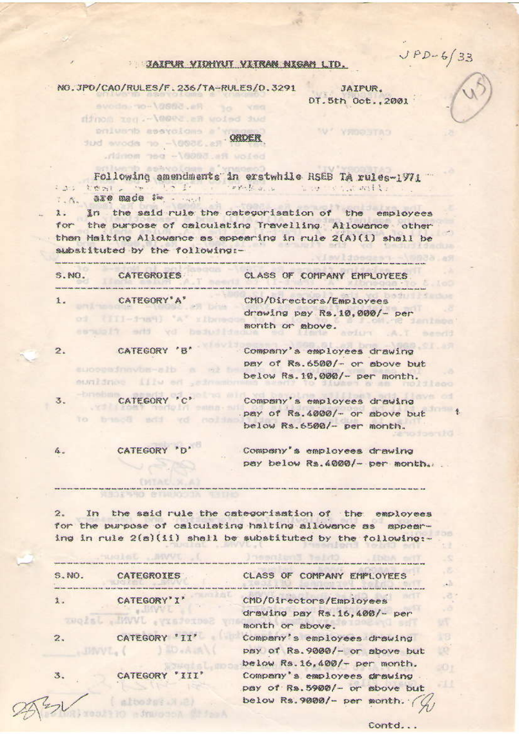$JPD-6/33$ 

## JAIPUR VIDHYNT VIIRAN NIGAN LTD.

NO.JPO/CAO/RULES/F.236/TA-RULES/0.3291 eveda no \0808.eR to veg

.ridmom neg -\@003.aft woied

dinom ted. - \@@ez.an woied dud polusob essycions a'u

**NEWS THE STRUCK** 

JAIPUR. DT.5th Oct., 2001

"W" YFOOBTAD

.<br>Not me that there are the this way from the line and you you you was hope was that you you want the basic that was the

fud avods no -10008.en . ONDER

Following amendments in erstwhile RSEB TA rules-1971 the twole with the reduce the cast will 1. A. 030 made 1- ....

In the said rule the categorisation of the employees  $\lambda$ . the purpose of calculating Travelling Allowance other for then Helting Allowance as eppearing in rule 2(A)(1) shall be substituted by the following :-

| S.MO.               | <b>CATEGROIES</b>                                     | CLASS OF COMPANY EMPLOYEES                                                                    |
|---------------------|-------------------------------------------------------|-----------------------------------------------------------------------------------------------|
| $\lambda$ .<br>0.31 | CATEGORY'A'<br>TITI-TUNHI A                           | CMD/Directors/Employees<br>drawing pay Rs. 10.000/- per<br>month or above.                    |
| 2.                  | CATEGORY 'B'<br>EUDOUWSTRIVER-EID<br>sunidnos illu en | Company's employees drawing<br>pay of Rs.6500/- or sbove but<br>below Rs. 10,000/- per month. |
| 3.<br>TO            | CATEGORY 'C'<br>based wid                             | Company's employees drawing<br>pay of Rs. 4000/- or above but<br>below Rs.6500/- per month.   |
| á.,                 | CATEGORY                                              | Company's employees drawing<br>pay below Rs. 4000/- per month.                                |

 $2.$ In the said rule the categorisation of the employees for the purpose of calculating halting allowance as appearing in rule 2(a)(ii) shall be substituted by the following:-

| S.MO. | CATEGROIES              | CLASS OF COMPANY EMPLOYEES      |
|-------|-------------------------|---------------------------------|
| 1.    | CATEGORY' I'            | CMD/Directors/Employees         |
|       | Secretary JWWL . Jaione | drawing pay Rs. 16, 408/- per   |
|       |                         | month or sboye.                 |
| 2.    | CATEGORY 'II'           | Company's employees drawing     |
|       |                         | psy of Rs. 9000/- or sbove but  |
|       |                         | below Rs. 16, 400/- per month.  |
| 3.    | CATEGORY 'III'          | Company's employees drawing     |
|       |                         | pay of Rs. 5900/- or sbove but  |
|       | al Hys Store List       | below Rs. 9000/- per month. $($ |

Contd...

 $\mathbf{L}$ 3